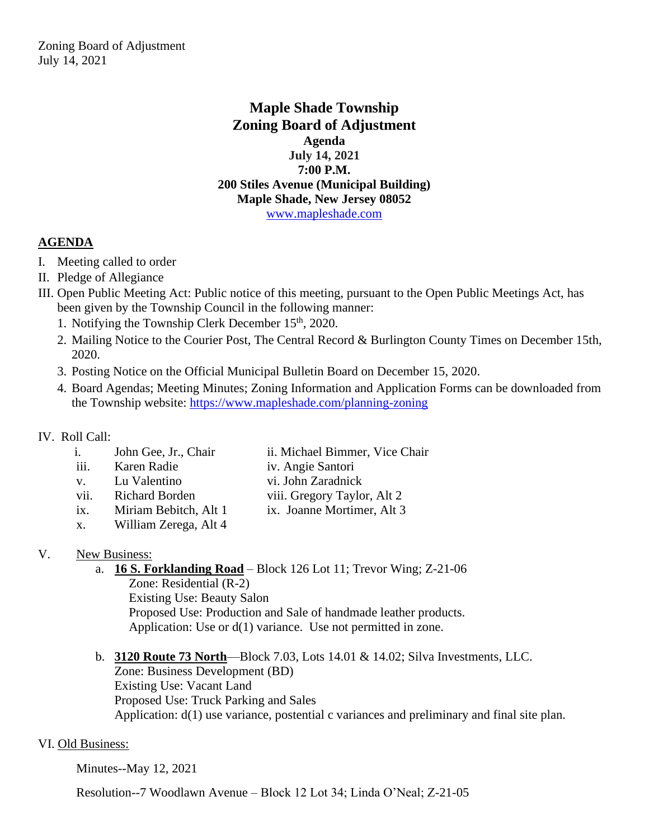**Maple Shade Township Zoning Board of Adjustment Agenda July 14, 2021 7:00 P.M. 200 Stiles Avenue (Municipal Building) Maple Shade, New Jersey 08052** [www.mapleshade.com](http://www.mapleshade.com/)

## **AGENDA**

- I. Meeting called to order
- II. Pledge of Allegiance
- III. Open Public Meeting Act: Public notice of this meeting, pursuant to the Open Public Meetings Act, has been given by the Township Council in the following manner:
	- 1. Notifying the Township Clerk December  $15<sup>th</sup>$ , 2020.
	- 2. Mailing Notice to the Courier Post, The Central Record & Burlington County Times on December 15th, 2020.
	- 3. Posting Notice on the Official Municipal Bulletin Board on December 15, 2020.
	- 4. Board Agendas; Meeting Minutes; Zoning Information and Application Forms can be downloaded from the Township website:<https://www.mapleshade.com/planning-zoning>

## IV. Roll Call:

- i. John Gee, Jr., Chair ii. Michael Bimmer, Vice Chair iii. Karen Radie iv. Angie Santori
- v. Lu Valentino vi. John Zaradnick
- vii. Richard Borden viii. Gregory Taylor, Alt 2
- ix. Miriam Bebitch, Alt 1 ix. Joanne Mortimer, Alt 3
- x. William Zerega, Alt 4

## V. New Business:

- a. **16 S. Forklanding Road** Block 126 Lot 11; Trevor Wing; Z-21-06
	- Zone: Residential (R-2) Existing Use: Beauty Salon Proposed Use: Production and Sale of handmade leather products. Application: Use or  $d(1)$  variance. Use not permitted in zone.
- b. **3120 Route 73 North**—Block 7.03, Lots 14.01 & 14.02; Silva Investments, LLC. Zone: Business Development (BD) Existing Use: Vacant Land Proposed Use: Truck Parking and Sales Application:  $d(1)$  use variance, postential c variances and preliminary and final site plan.

## VI. Old Business:

Minutes--May 12, 2021

Resolution--7 Woodlawn Avenue – Block 12 Lot 34; Linda O'Neal; Z-21-05